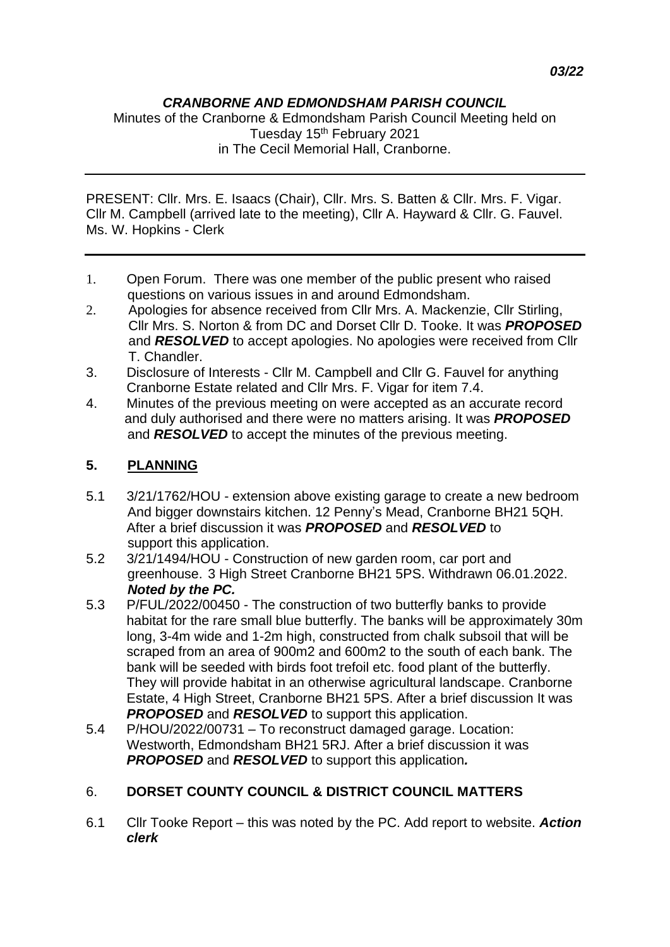## *CRANBORNE AND EDMONDSHAM PARISH COUNCIL*

Minutes of the Cranborne & Edmondsham Parish Council Meeting held on Tuesday 15<sup>th</sup> February 2021 in The Cecil Memorial Hall, Cranborne.

PRESENT: Cllr. Mrs. E. Isaacs (Chair), Cllr. Mrs. S. Batten & Cllr. Mrs. F. Vigar. Cllr M. Campbell (arrived late to the meeting), Cllr A. Hayward & Cllr. G. Fauvel. Ms. W. Hopkins - Clerk

- 1. Open Forum. There was one member of the public present who raised questions on various issues in and around Edmondsham.
- 2. Apologies for absence received from Cllr Mrs. A. Mackenzie, Cllr Stirling, Cllr Mrs. S. Norton & from DC and Dorset Cllr D. Tooke. It was *PROPOSED* and *RESOLVED* to accept apologies. No apologies were received from Cllr T. Chandler.
- 3. Disclosure of Interests Cllr M. Campbell and Cllr G. Fauvel for anything Cranborne Estate related and Cllr Mrs. F. Vigar for item 7.4.
- 4. Minutes of the previous meeting on were accepted as an accurate record and duly authorised and there were no matters arising. It was *PROPOSED* and **RESOLVED** to accept the minutes of the previous meeting.

## **5. PLANNING**

- 5.1 3/21/1762/HOU extension above existing garage to create a new bedroom And bigger downstairs kitchen. 12 Penny's Mead, Cranborne BH21 5QH. After a brief discussion it was *PROPOSED* and *RESOLVED* to support this application.
- 5.2 3/21/1494/HOU Construction of new garden room, car port and greenhouse. 3 High Street Cranborne BH21 5PS. Withdrawn 06.01.2022. *Noted by the PC.*
- 5.3 P/FUL/2022/00450 The construction of two butterfly banks to provide habitat for the rare small blue butterfly. The banks will be approximately 30m long, 3-4m wide and 1-2m high, constructed from chalk subsoil that will be scraped from an area of 900m2 and 600m2 to the south of each bank. The bank will be seeded with birds foot trefoil etc. food plant of the butterfly. They will provide habitat in an otherwise agricultural landscape. Cranborne Estate, 4 High Street, Cranborne BH21 5PS. After a brief discussion It was *PROPOSED* and *RESOLVED* to support this application.
- 5.4 P/HOU/2022/00731 To reconstruct damaged garage. Location: Westworth, Edmondsham BH21 5RJ. After a brief discussion it was *PROPOSED* and *RESOLVED* to support this application*.*

# 6. **DORSET COUNTY COUNCIL & DISTRICT COUNCIL MATTERS**

6.1 Cllr Tooke Report – this was noted by the PC. Add report to website. *Action clerk*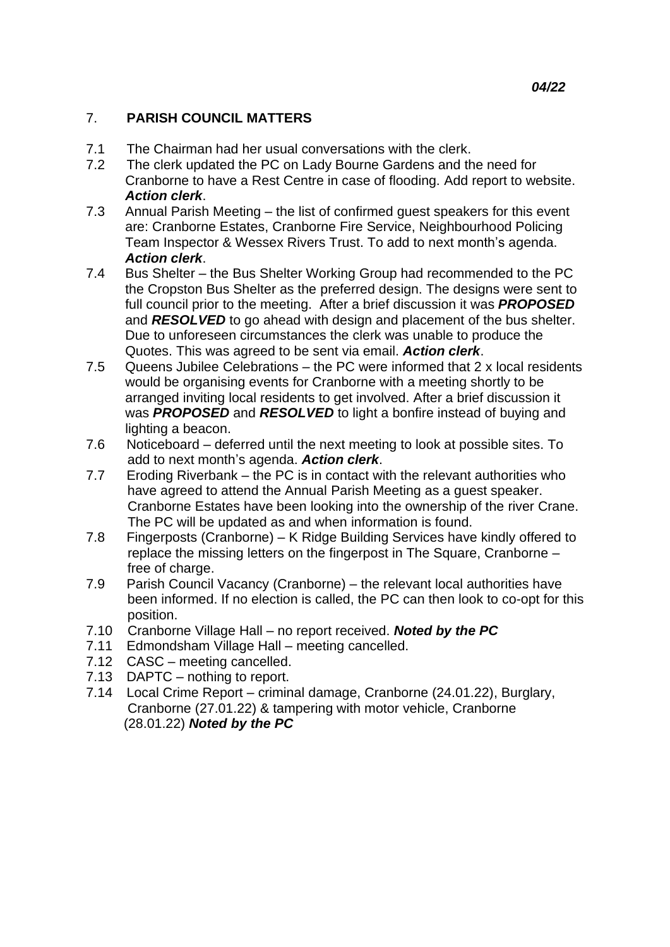## 7. **PARISH COUNCIL MATTERS**

- 7.1 The Chairman had her usual conversations with the clerk.
- 7.2 The clerk updated the PC on Lady Bourne Gardens and the need for Cranborne to have a Rest Centre in case of flooding. Add report to website. *Action clerk*.
- 7.3 Annual Parish Meeting the list of confirmed guest speakers for this event are: Cranborne Estates, Cranborne Fire Service, Neighbourhood Policing Team Inspector & Wessex Rivers Trust. To add to next month's agenda. *Action clerk*.
- 7.4 Bus Shelter the Bus Shelter Working Group had recommended to the PC the Cropston Bus Shelter as the preferred design. The designs were sent to full council prior to the meeting. After a brief discussion it was *PROPOSED* and **RESOLVED** to go ahead with design and placement of the bus shelter. Due to unforeseen circumstances the clerk was unable to produce the Quotes. This was agreed to be sent via email. *Action clerk*.
- 7.5 Queens Jubilee Celebrations the PC were informed that 2 x local residents would be organising events for Cranborne with a meeting shortly to be arranged inviting local residents to get involved. After a brief discussion it was *PROPOSED* and *RESOLVED* to light a bonfire instead of buying and lighting a beacon.
- 7.6 Noticeboard deferred until the next meeting to look at possible sites. To add to next month's agenda. *Action clerk*.
- 7.7 Eroding Riverbank the PC is in contact with the relevant authorities who have agreed to attend the Annual Parish Meeting as a guest speaker. Cranborne Estates have been looking into the ownership of the river Crane. The PC will be updated as and when information is found.
- 7.8 Fingerposts (Cranborne) K Ridge Building Services have kindly offered to replace the missing letters on the fingerpost in The Square, Cranborne – free of charge.
- 7.9 Parish Council Vacancy (Cranborne) the relevant local authorities have been informed. If no election is called, the PC can then look to co-opt for this position.
- 7.10 Cranborne Village Hall no report received. *Noted by the PC*
- 7.11 Edmondsham Village Hall meeting cancelled.
- 7.12 CASC meeting cancelled.
- 7.13 DAPTC nothing to report.
- 7.14 Local Crime Report criminal damage, Cranborne (24.01.22), Burglary, Cranborne (27.01.22) & tampering with motor vehicle, Cranborne (28.01.22) *Noted by the PC*